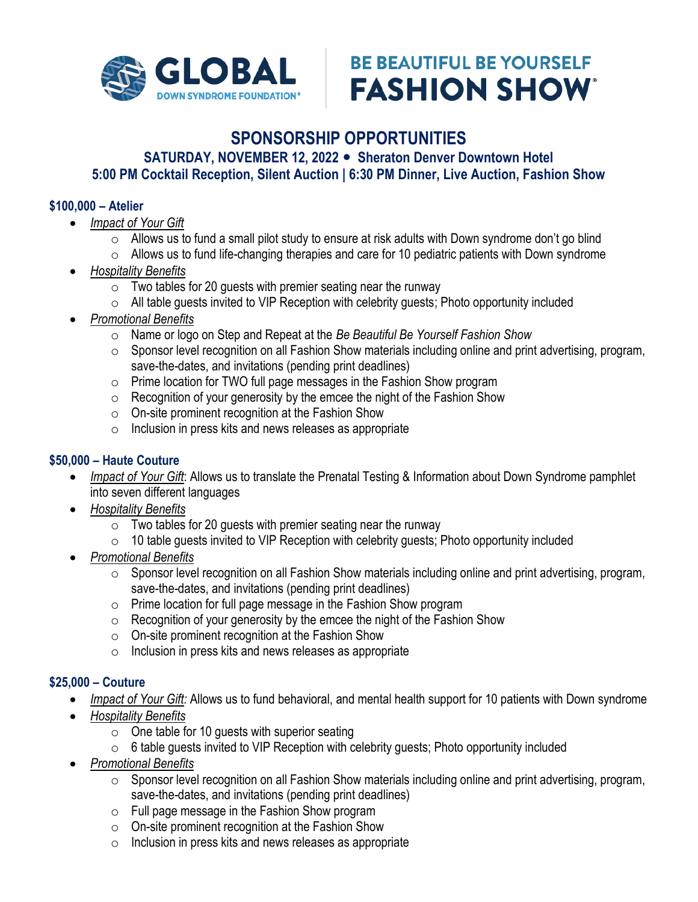

# **BE BEAUTIFUL BE YOURSELF FASHION SHOW**

# **SPONSORSHIP OPPORTUNITIES**

SATURDAY, NOVEMBER 12, 2022 • Sheraton Denver Downtown Hotel **5:00 PM Cocktail Reception, Silent Auction | 6:30 PM Dinner, Live Auction, Fashion Show**

#### **\$100,000 – Atelier**

- *Impact of Your Gift*
	- o Allows us to fund a small pilot study to ensure at risk adults with Down syndrome don't go blind
	- $\circ$  Allows us to fund life-changing therapies and care for 10 pediatric patients with Down syndrome
- *Hospitality Benefits*
	- $\circ$  Two tables for 20 guests with premier seating near the runway
	- $\circ$  All table quests invited to VIP Reception with celebrity quests; Photo opportunity included
- *Promotional Benefits* 
	- o Name or logo on Step and Repeat at the *Be Beautiful Be Yourself Fashion Show*
	- o Sponsor level recognition on all Fashion Show materials including online and print advertising, program, save-the-dates, and invitations (pending print deadlines)
	- o Prime location for TWO full page messages in the Fashion Show program
	- $\circ$  Recognition of your generosity by the emcee the night of the Fashion Show
	- o On-site prominent recognition at the Fashion Show
	- $\circ$  Inclusion in press kits and news releases as appropriate

# **\$50,000 – Haute Couture**

- *Impact of Your Gift*: Allows us to translate the Prenatal Testing & Information about Down Syndrome pamphlet into seven different languages
- *Hospitality Benefits*
	- $\circ$  Two tables for 20 guests with premier seating near the runway
	- o 10 table guests invited to VIP Reception with celebrity guests; Photo opportunity included
- *Promotional Benefits* 
	- o Sponsor level recognition on all Fashion Show materials including online and print advertising, program, save-the-dates, and invitations (pending print deadlines)
	- o Prime location for full page message in the Fashion Show program
	- $\circ$  Recognition of your generosity by the emcee the night of the Fashion Show
	- o On-site prominent recognition at the Fashion Show
	- o Inclusion in press kits and news releases as appropriate

# **\$25,000 – Couture**

- *Impact of Your Gift:* Allows us to fund behavioral, and mental health support for 10 patients with Down syndrome
- *Hospitality Benefits*
	- $\circ$  One table for 10 guests with superior seating
	- $\circ$  6 table guests invited to VIP Reception with celebrity guests; Photo opportunity included
- *Promotional Benefits* 
	- o Sponsor level recognition on all Fashion Show materials including online and print advertising, program, save-the-dates, and invitations (pending print deadlines)
	- o Full page message in the Fashion Show program
	- o On-site prominent recognition at the Fashion Show
	- o Inclusion in press kits and news releases as appropriate